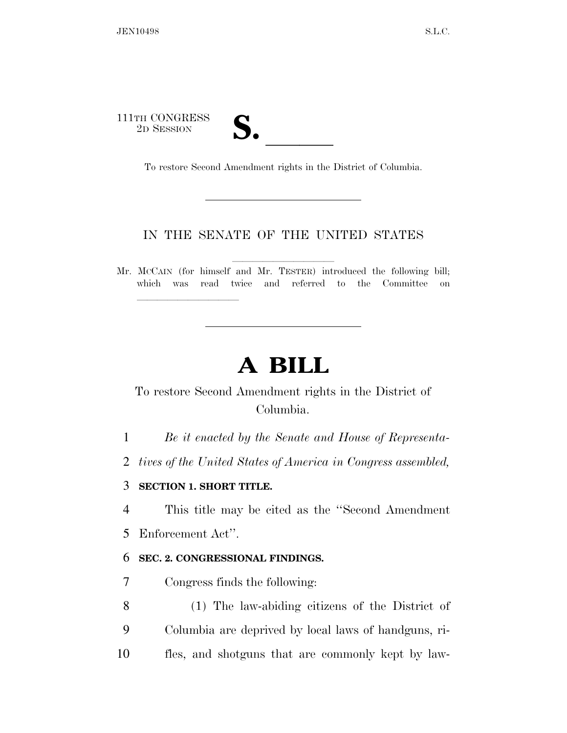111TH CONGRESS TH CONGRESS **S. letter of the Second Second Second Second Second Second Second Second Second Second Second Second Second Second Second Second Second Second Second Second Second Second Second Second Second Second Second S** 

llllllllll

To restore Second Amendment rights in the District of Columbia.

#### IN THE SENATE OF THE UNITED STATES

llllllllll

Mr. MCCAIN (for himself and Mr. TESTER) introduced the following bill; which was read twice and referred to the Committee on

## **A BILL**

### To restore Second Amendment rights in the District of Columbia.

1 *Be it enacted by the Senate and House of Representa-*

2 *tives of the United States of America in Congress assembled,* 

#### 3 **SECTION 1. SHORT TITLE.**

4 This title may be cited as the ''Second Amendment

5 Enforcement Act''.

#### 6 **SEC. 2. CONGRESSIONAL FINDINGS.**

7 Congress finds the following:

8 (1) The law-abiding citizens of the District of 9 Columbia are deprived by local laws of handguns, ri-10 fles, and shotguns that are commonly kept by law-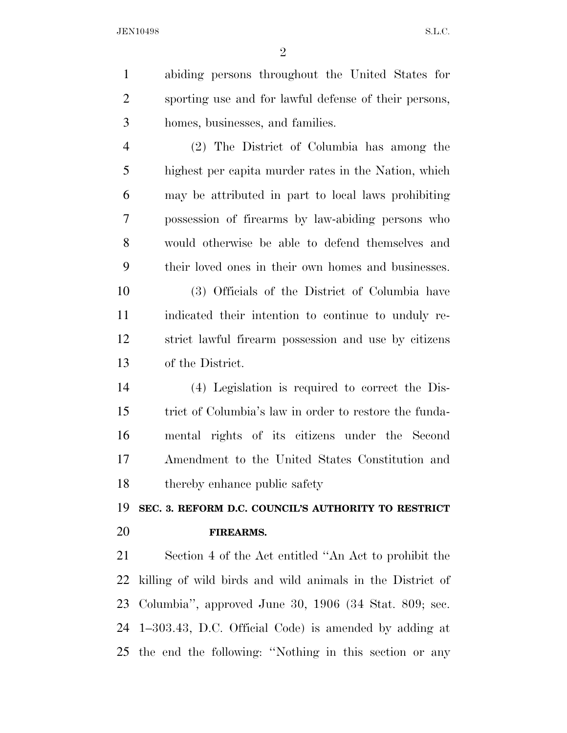abiding persons throughout the United States for sporting use and for lawful defense of their persons, homes, businesses, and families. (2) The District of Columbia has among the highest per capita murder rates in the Nation, which may be attributed in part to local laws prohibiting possession of firearms by law-abiding persons who would otherwise be able to defend themselves and

 their loved ones in their own homes and businesses. (3) Officials of the District of Columbia have

 indicated their intention to continue to unduly re- strict lawful firearm possession and use by citizens of the District.

 (4) Legislation is required to correct the Dis- trict of Columbia's law in order to restore the funda- mental rights of its citizens under the Second Amendment to the United States Constitution and thereby enhance public safety

**SEC. 3. REFORM D.C. COUNCIL'S AUTHORITY TO RESTRICT** 

#### **FIREARMS.**

 Section 4 of the Act entitled ''An Act to prohibit the killing of wild birds and wild animals in the District of Columbia'', approved June 30, 1906 (34 Stat. 809; sec. 1–303.43, D.C. Official Code) is amended by adding at the end the following: ''Nothing in this section or any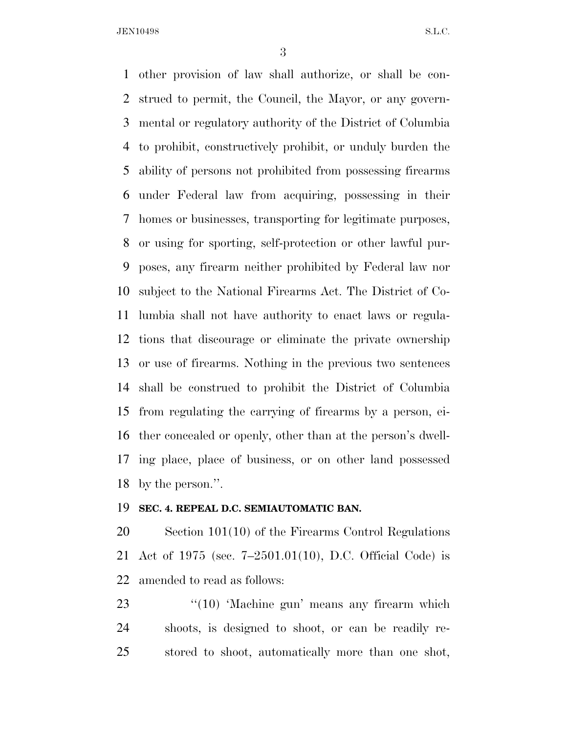other provision of law shall authorize, or shall be con- strued to permit, the Council, the Mayor, or any govern- mental or regulatory authority of the District of Columbia to prohibit, constructively prohibit, or unduly burden the ability of persons not prohibited from possessing firearms under Federal law from acquiring, possessing in their homes or businesses, transporting for legitimate purposes, or using for sporting, self-protection or other lawful pur- poses, any firearm neither prohibited by Federal law nor subject to the National Firearms Act. The District of Co- lumbia shall not have authority to enact laws or regula- tions that discourage or eliminate the private ownership or use of firearms. Nothing in the previous two sentences shall be construed to prohibit the District of Columbia from regulating the carrying of firearms by a person, ei- ther concealed or openly, other than at the person's dwell- ing place, place of business, or on other land possessed by the person.''.

#### **SEC. 4. REPEAL D.C. SEMIAUTOMATIC BAN.**

 Section 101(10) of the Firearms Control Regulations Act of 1975 (sec. 7–2501.01(10), D.C. Official Code) is amended to read as follows:

23 "(10) 'Machine gun' means any firearm which shoots, is designed to shoot, or can be readily re-stored to shoot, automatically more than one shot,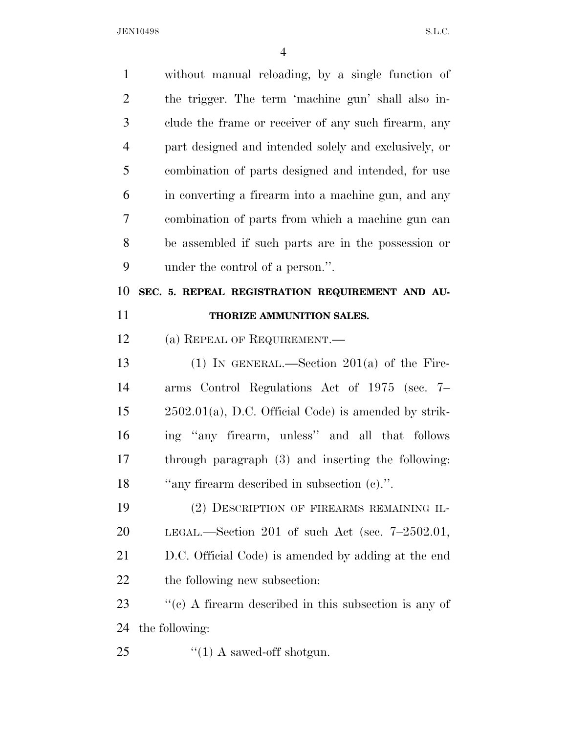| $\mathbf{1}$   | without manual reloading, by a single function of         |
|----------------|-----------------------------------------------------------|
| $\overline{2}$ | the trigger. The term 'machine gun' shall also in-        |
| 3              | clude the frame or receiver of any such firearm, any      |
| $\overline{4}$ | part designed and intended solely and exclusively, or     |
| 5              | combination of parts designed and intended, for use       |
| 6              | in converting a firearm into a machine gun, and any       |
| 7              | combination of parts from which a machine gun can         |
| 8              | be assembled if such parts are in the possession or       |
| 9              | under the control of a person.".                          |
| 10             | SEC. 5. REPEAL REGISTRATION REQUIREMENT AND AU-           |
| 11             | THORIZE AMMUNITION SALES.                                 |
| 12             | (a) REPEAL OF REQUIREMENT.                                |
| 13             | (1) IN GENERAL.—Section $201(a)$ of the Fire-             |
| 14             | arms Control Regulations Act of 1975 (sec. 7–             |
| 15             | $2502.01(a)$ , D.C. Official Code) is amended by strik-   |
| 16             | ing "any firearm, unless" and all that follows            |
| 17             | through paragraph (3) and inserting the following:        |
| 18             | "any firearm described in subsection (c).".               |
| 19             | (2) DESCRIPTION OF FIREARMS REMAINING IL-                 |
| 20             | LEGAL.—Section 201 of such Act (sec. $7-2502.01$ ,        |
| 21             | D.C. Official Code) is amended by adding at the end       |
| 22             | the following new subsection:                             |
| 23             | $f''(c)$ A firearm described in this subsection is any of |
| 24             | the following:                                            |
| 25             | $\lq(1)$ A sawed-off shotgun.                             |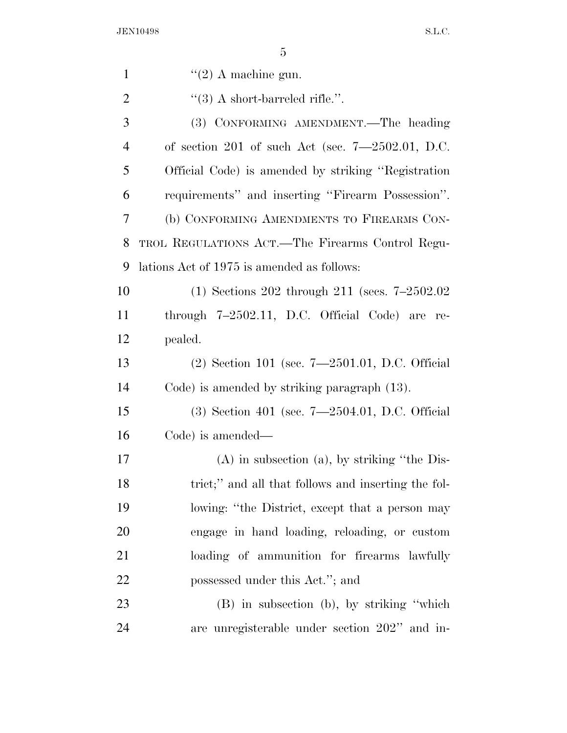| $\mathbf{1}$   | $\lq(2)$ A machine gun.                             |
|----------------|-----------------------------------------------------|
| $\overline{2}$ | $\lq(3)$ A short-barreled rifle.".                  |
| 3              | (3) CONFORMING AMENDMENT.—The heading               |
| $\overline{4}$ | of section 201 of such Act (sec. $7-2502.01$ , D.C. |
| 5              | Official Code) is amended by striking "Registration |
| 6              | requirements" and inserting "Firearm Possession".   |
| 7              | (b) CONFORMING AMENDMENTS TO FIREARMS CON-          |
| 8              | TROL REGULATIONS ACT.—The Firearms Control Regu-    |
| 9              | lations Act of 1975 is amended as follows:          |
| 10             | $(1)$ Sections 202 through 211 (secs. 7–2502.02)    |
| 11             | through $7-2502.11$ , D.C. Official Code) are re-   |
| 12             | pealed.                                             |
| 13             | $(2)$ Section 101 (sec. 7—2501.01, D.C. Official    |
| 14             | Code) is amended by striking paragraph (13).        |
| 15             | $(3)$ Section 401 (sec. 7—2504.01, D.C. Official    |
| 16             | Code) is amended—                                   |
| 17             | $(A)$ in subsection $(a)$ , by striking "the Dis-   |
| 18             | trict;" and all that follows and inserting the fol- |
| 19             | lowing: "the District, except that a person may     |
| 20             | engage in hand loading, reloading, or custom        |
| 21             | loading of ammunition for firearms lawfully         |
| 22             | possessed under this Act."; and                     |
| 23             | $(B)$ in subsection (b), by striking "which         |
| 24             | are unregisterable under section 202" and in-       |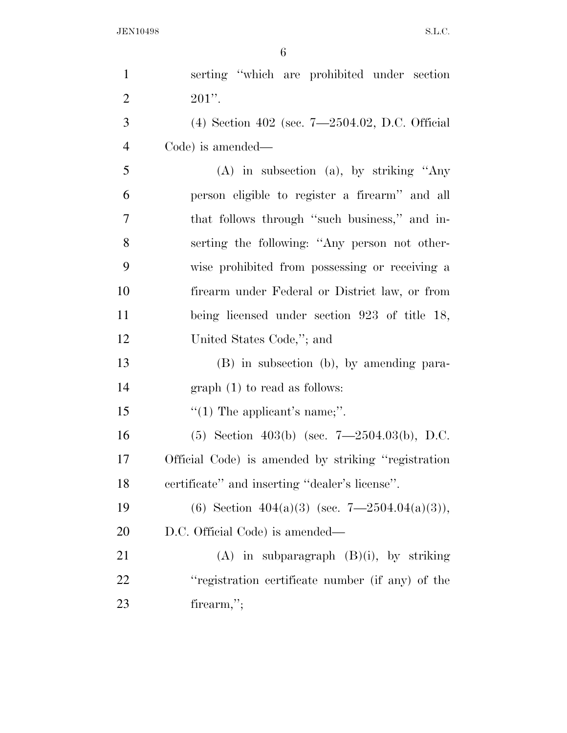| $\mathbf{1}$   | serting "which are prohibited under section         |
|----------------|-----------------------------------------------------|
| $\overline{2}$ | $201$ ".                                            |
| 3              | (4) Section 402 (sec. $7-2504.02$ , D.C. Official   |
| $\overline{4}$ | Code) is amended—                                   |
| 5              | $(A)$ in subsection $(a)$ , by striking "Any        |
| 6              | person eligible to register a firearm" and all      |
| $\overline{7}$ | that follows through "such business," and in-       |
| 8              | serting the following: "Any person not other-       |
| 9              | wise prohibited from possessing or receiving a      |
| 10             | firearm under Federal or District law, or from      |
| 11             | being licensed under section 923 of title 18,       |
| 12             | United States Code,"; and                           |
| 13             | (B) in subsection (b), by amending para-            |
| 14             | $graph(1)$ to read as follows:                      |
| 15             | "(1) The applicant's name;".                        |
| 16             | (5) Section 403(b) (sec. $7-2504.03(b)$ , D.C.      |
| 17             | Official Code) is amended by striking "registration |
| 18             | certificate" and inserting "dealer's license".      |
| 19             | (6) Section 404(a)(3) (sec. 7-2504.04(a)(3)),       |
| 20             | D.C. Official Code) is amended—                     |
| 21             | $(A)$ in subparagraph $(B)(i)$ , by striking        |
| 22             | "registration certificate number (if any) of the    |
| 23             | firearm,";                                          |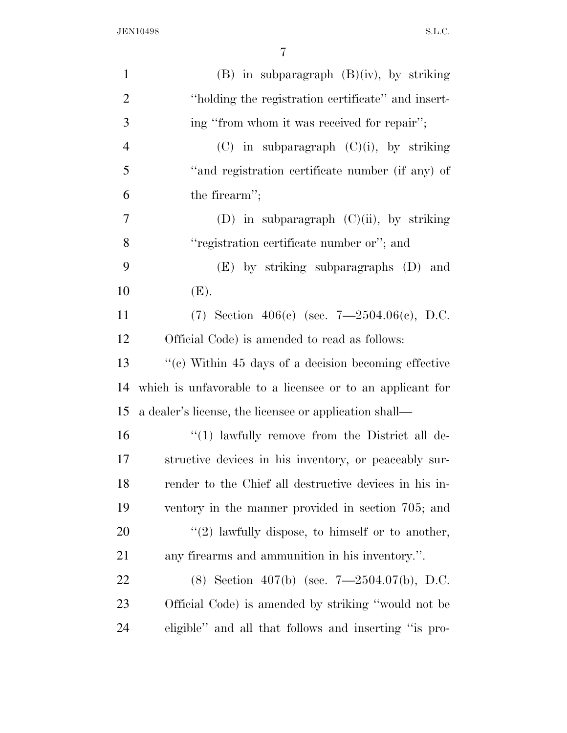| $\mathbf{1}$   | $(B)$ in subparagraph $(B)(iv)$ , by striking             |
|----------------|-----------------------------------------------------------|
| $\overline{2}$ | "holding the registration certificate" and insert-        |
| 3              | ing "from whom it was received for repair";               |
| $\overline{4}$ | $(C)$ in subparagraph $(C)(i)$ , by striking              |
| 5              | "and registration certificate number (if any) of          |
| 6              | the firearm";                                             |
| $\overline{7}$ | (D) in subparagraph $(C)(ii)$ , by striking               |
| 8              | "registration certificate number or"; and                 |
| 9              | $(E)$ by striking subparagraphs $(D)$ and                 |
| 10             | (E).                                                      |
| 11             | (7) Section 406(c) (sec. $7-2504.06(c)$ , D.C.            |
| 12             | Official Code) is amended to read as follows:             |
| 13             | "(c) Within 45 days of a decision becoming effective      |
| 14             | which is unfavorable to a licensee or to an applicant for |
| 15             | a dealer's license, the licensee or application shall—    |
| 16             | $\lq(1)$ lawfully remove from the District all de-        |
| 17             | structive devices in his inventory, or peaceably sur-     |
| 18             | render to the Chief all destructive devices in his in-    |
| 19             | ventory in the manner provided in section 705; and        |
| 20             | $\lq(2)$ lawfully dispose, to himself or to another,      |
| 21             | any firearms and ammunition in his inventory.".           |
| 22             | (8) Section 407(b) (sec. $7-2504.07(b)$ , D.C.            |
| 23             | Official Code) is amended by striking "would not be       |
| 24             | eligible" and all that follows and inserting "is pro-     |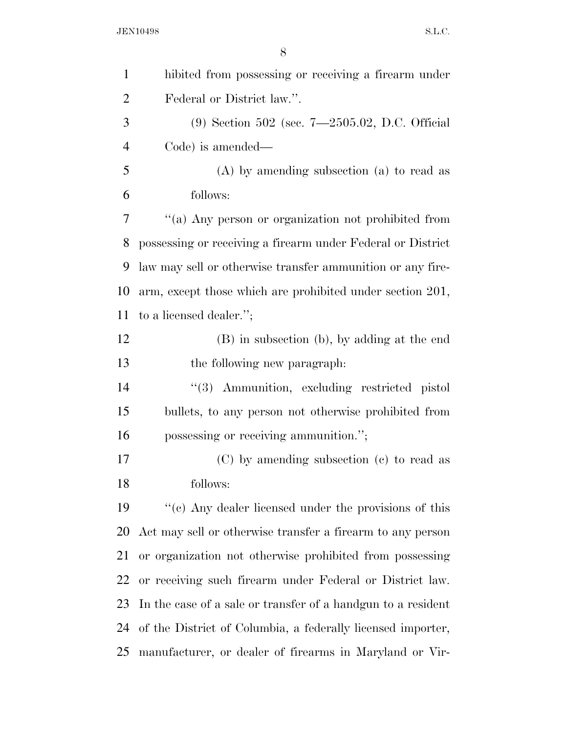| $\mathbf{1}$   | hibited from possessing or receiving a firearm under         |
|----------------|--------------------------------------------------------------|
| $\overline{2}$ | Federal or District law.".                                   |
| 3              | $(9)$ Section 502 (sec. 7-2505.02, D.C. Official             |
| $\overline{4}$ | Code) is amended—                                            |
| 5              | $(A)$ by amending subsection $(a)$ to read as                |
| 6              | follows:                                                     |
| 7              | "(a) Any person or organization not prohibited from          |
| 8              | possessing or receiving a firearm under Federal or District  |
| 9              | law may sell or otherwise transfer ammunition or any fire-   |
| 10             | arm, except those which are prohibited under section 201,    |
| 11             | to a licensed dealer.";                                      |
| 12             | (B) in subsection (b), by adding at the end                  |
| 13             | the following new paragraph.                                 |
| 14             | "(3) Ammunition, excluding restricted pistol                 |
| 15             | bullets, to any person not otherwise prohibited from         |
| 16             | possessing or receiving ammunition.";                        |
| 17             | (C) by amending subsection (c) to read as                    |
| 18             | follows:                                                     |
| 19             | "(c) Any dealer licensed under the provisions of this        |
| 20             | Act may sell or otherwise transfer a firearm to any person   |
| 21             | or organization not otherwise prohibited from possessing     |
| 22             | or receiving such firearm under Federal or District law.     |
| 23             | In the case of a sale or transfer of a handgun to a resident |
| 24             | of the District of Columbia, a federally licensed importer,  |
| 25             | manufacturer, or dealer of firearms in Maryland or Vir-      |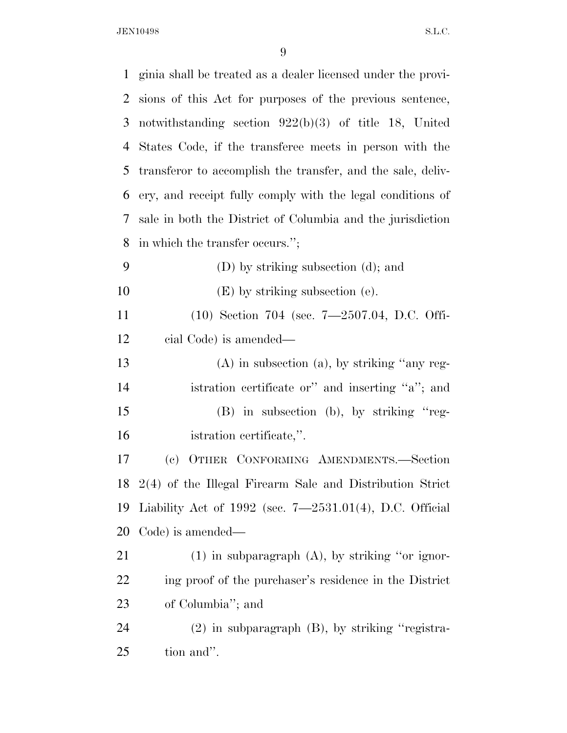| $\mathbf{1}$   | ginia shall be treated as a dealer licensed under the provi- |
|----------------|--------------------------------------------------------------|
| $\overline{2}$ | sions of this Act for purposes of the previous sentence,     |
| 3              | notwithstanding section $922(b)(3)$ of title 18, United      |
| $\overline{4}$ | States Code, if the transferee meets in person with the      |
| 5              | transferor to accomplish the transfer, and the sale, deliv-  |
| 6              | ery, and receipt fully comply with the legal conditions of   |
| 7              | sale in both the District of Columbia and the jurisdiction   |
| 8              | in which the transfer occurs.";                              |
| 9              | (D) by striking subsection (d); and                          |
| 10             | $(E)$ by striking subsection (e).                            |
| 11             | (10) Section 704 (sec. 7-2507.04, D.C. Offi-                 |
| 12             | cial Code) is amended—                                       |
| 13             | $(A)$ in subsection $(a)$ , by striking "any reg-            |
| 14             | istration certificate or" and inserting "a"; and             |
| 15             | (B) in subsection (b), by striking "reg-                     |
| 16             | istration certificate,".                                     |
| 17             | OTHER CONFORMING AMENDMENTS.-Section<br>(e)                  |
| 18             | $2(4)$ of the Illegal Firearm Sale and Distribution Strict   |
| 19             | Liability Act of $1992$ (sec. $7-2531.01(4)$ , D.C. Official |
| 20             | Code) is amended—                                            |
| 21             | $(1)$ in subparagraph $(A)$ , by striking "or ignor-         |
| 22             | ing proof of the purchaser's residence in the District       |
| 23             | of Columbia"; and                                            |
| 24             | $(2)$ in subparagraph $(B)$ , by striking "registra-         |
| 25             | tion and".                                                   |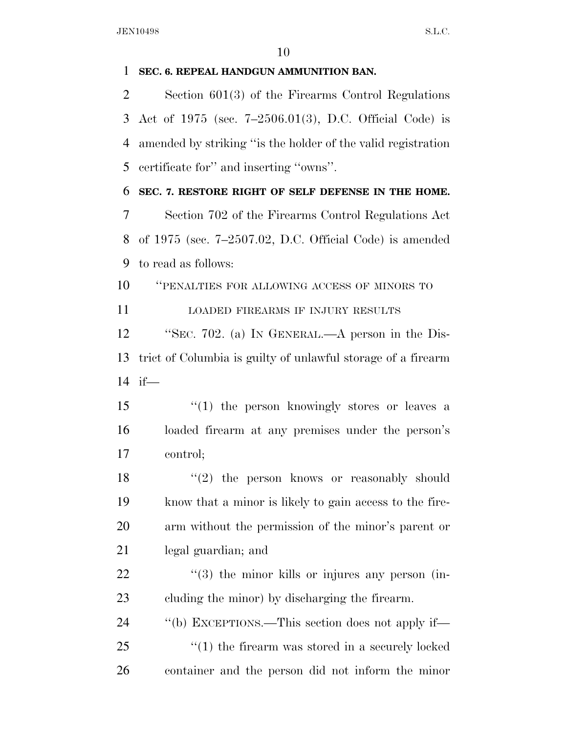#### **SEC. 6. REPEAL HANDGUN AMMUNITION BAN.**

 Section 601(3) of the Firearms Control Regulations Act of 1975 (sec. 7–2506.01(3), D.C. Official Code) is amended by striking ''is the holder of the valid registration certificate for'' and inserting ''owns''.

**SEC. 7. RESTORE RIGHT OF SELF DEFENSE IN THE HOME.** 

 Section 702 of the Firearms Control Regulations Act of 1975 (sec. 7–2507.02, D.C. Official Code) is amended to read as follows:

''PENALTIES FOR ALLOWING ACCESS OF MINORS TO

LOADED FIREARMS IF INJURY RESULTS

 ''SEC. 702. (a) IN GENERAL.—A person in the Dis- trict of Columbia is guilty of unlawful storage of a firearm if—

15 ''(1) the person knowingly stores or leaves a loaded firearm at any premises under the person's control;

18 ''(2) the person knows or reasonably should know that a minor is likely to gain access to the fire- arm without the permission of the minor's parent or legal guardian; and

22  $\frac{1}{2}$  (3) the minor kills or injures any person (in-cluding the minor) by discharging the firearm.

 ''(b) EXCEPTIONS.—This section does not apply if— 25  $\frac{1}{25}$  (1) the firearm was stored in a securely locked container and the person did not inform the minor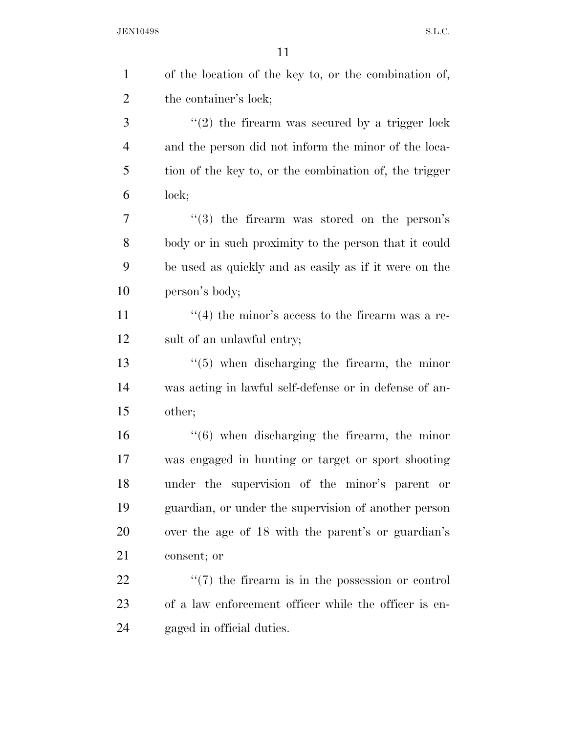| $\mathbf{1}$   | of the location of the key to, or the combination of,   |
|----------------|---------------------------------------------------------|
| $\overline{2}$ | the container's lock;                                   |
| 3              | $"(2)$ the firearm was secured by a trigger lock        |
| $\overline{4}$ | and the person did not inform the minor of the loca-    |
| 5              | tion of the key to, or the combination of, the trigger  |
| 6              | lock;                                                   |
| 7              | $(3)$ the firearm was stored on the person's            |
| 8              | body or in such proximity to the person that it could   |
| 9              | be used as quickly and as easily as if it were on the   |
| 10             | person's body;                                          |
| 11             | $\cdot$ (4) the minor's access to the firearm was a re- |
| 12             | sult of an unlawful entry;                              |
| 13             | $\lq(5)$ when discharging the firearm, the minor        |
| 14             | was acting in lawful self-defense or in defense of an-  |
| 15             | other;                                                  |
| 16             | $((6)$ when discharging the firearm, the minor          |
| 17             | was engaged in hunting or target or sport shooting      |
| 18             | under the supervision of the minor's parent or          |
| 19             | guardian, or under the supervision of another person    |
| 20             | over the age of 18 with the parent's or guardian's      |
| 21             | consent; or                                             |
| 22             | $\lq(7)$ the firearm is in the possession or control    |
| 23             | of a law enforcement officer while the officer is en-   |
| 24             | gaged in official duties.                               |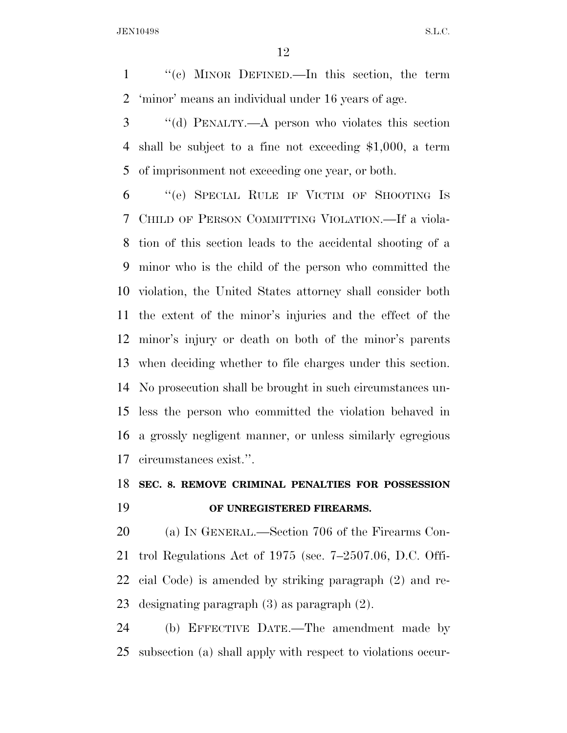''(c) MINOR DEFINED.—In this section, the term 'minor' means an individual under 16 years of age.

 ''(d) PENALTY.—A person who violates this section shall be subject to a fine not exceeding \$1,000, a term of imprisonment not exceeding one year, or both.

 ''(e) SPECIAL RULE IF VICTIM OF SHOOTING IS CHILD OF PERSON COMMITTING VIOLATION.—If a viola- tion of this section leads to the accidental shooting of a minor who is the child of the person who committed the violation, the United States attorney shall consider both the extent of the minor's injuries and the effect of the minor's injury or death on both of the minor's parents when deciding whether to file charges under this section. No prosecution shall be brought in such circumstances un- less the person who committed the violation behaved in a grossly negligent manner, or unless similarly egregious circumstances exist.''.

## **SEC. 8. REMOVE CRIMINAL PENALTIES FOR POSSESSION OF UNREGISTERED FIREARMS.**

 (a) IN GENERAL.—Section 706 of the Firearms Con- trol Regulations Act of 1975 (sec. 7–2507.06, D.C. Offi- cial Code) is amended by striking paragraph (2) and re-designating paragraph (3) as paragraph (2).

 (b) EFFECTIVE DATE.—The amendment made by subsection (a) shall apply with respect to violations occur-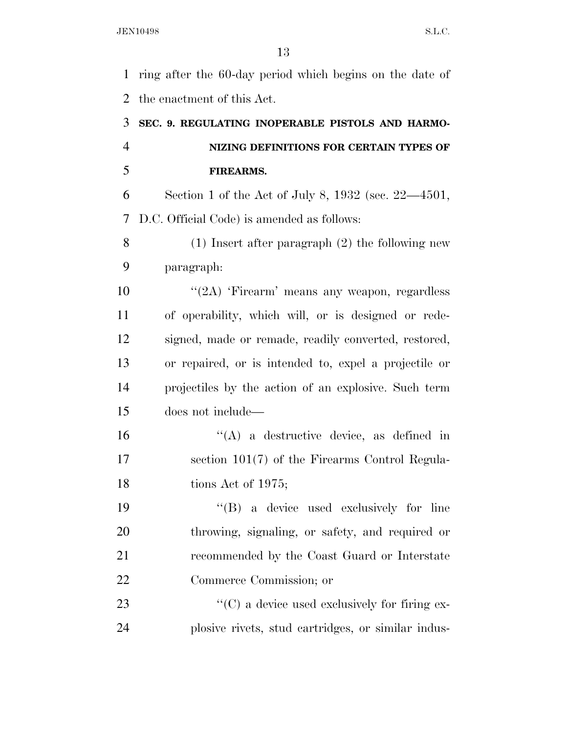ring after the 60-day period which begins on the date of the enactment of this Act. **SEC. 9. REGULATING INOPERABLE PISTOLS AND HARMO-**

# **NIZING DEFINITIONS FOR CERTAIN TYPES OF FIREARMS.**

 Section 1 of the Act of July 8, 1932 (sec. 22—4501, D.C. Official Code) is amended as follows:

 (1) Insert after paragraph (2) the following new paragraph:

 ''(2A) 'Firearm' means any weapon, regardless of operability, which will, or is designed or rede- signed, made or remade, readily converted, restored, or repaired, or is intended to, expel a projectile or projectiles by the action of an explosive. Such term does not include—

 ''(A) a destructive device, as defined in section 101(7) of the Firearms Control Regula-18 tions Act of 1975;

 ''(B) a device used exclusively for line throwing, signaling, or safety, and required or recommended by the Coast Guard or Interstate Commerce Commission; or

23  $\cdot$  (C) a device used exclusively for firing ex-plosive rivets, stud cartridges, or similar indus-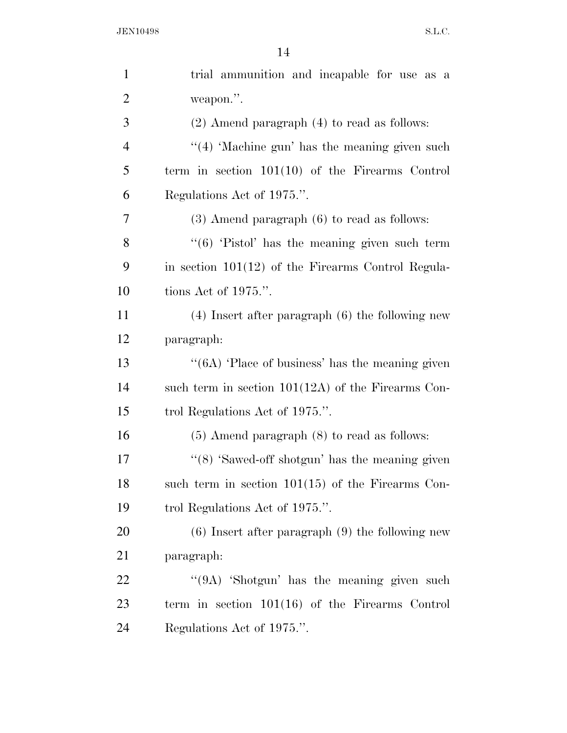| $\mathbf{1}$   | trial ammunition and incapable for use as a          |
|----------------|------------------------------------------------------|
| $\overline{2}$ | weapon.".                                            |
| 3              | $(2)$ Amend paragraph $(4)$ to read as follows:      |
| $\overline{4}$ | $\lq(4)$ 'Machine gun' has the meaning given such    |
| 5              | term in section $101(10)$ of the Firearms Control    |
| 6              | Regulations Act of 1975.".                           |
| 7              | $(3)$ Amend paragraph $(6)$ to read as follows:      |
| 8              | " $(6)$ 'Pistol' has the meaning given such term     |
| 9              | in section $101(12)$ of the Firearms Control Regula- |
| 10             | tions Act of $1975$ .".                              |
| 11             | $(4)$ Insert after paragraph $(6)$ the following new |
| 12             | paragraph:                                           |
| 13             | "(6A) 'Place of business' has the meaning given      |
| 14             | such term in section $101(12)$ of the Firearms Con-  |
| 15             | trol Regulations Act of 1975.".                      |
| 16             | $(5)$ Amend paragraph $(8)$ to read as follows:      |
| 17             | " $(8)$ 'Sawed-off shotgun' has the meaning given    |
| 18             | such term in section $101(15)$ of the Firearms Con-  |
| 19             | trol Regulations Act of 1975.".                      |
| 20             | $(6)$ Insert after paragraph $(9)$ the following new |
| 21             | paragraph:                                           |
| 22             | "(9A) 'Shotgun' has the meaning given such           |
| 23             | term in section $101(16)$ of the Firearms Control    |
| 24             | Regulations Act of 1975.".                           |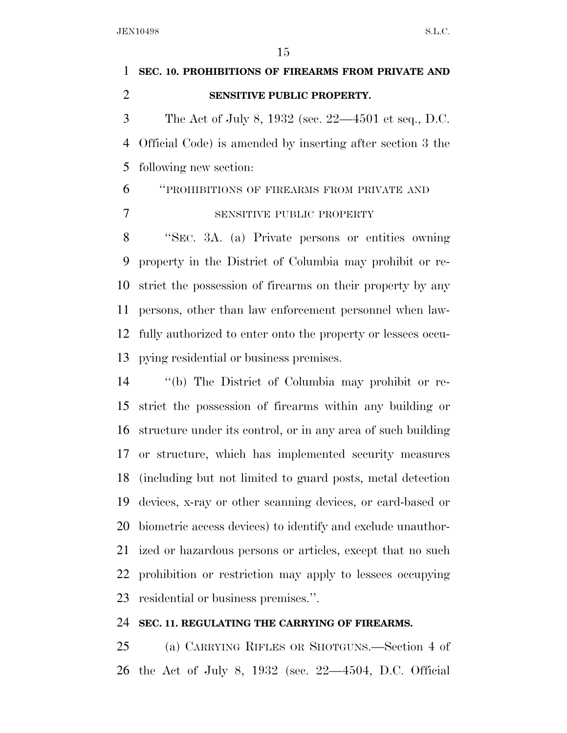**SEC. 10. PROHIBITIONS OF FIREARMS FROM PRIVATE AND SENSITIVE PUBLIC PROPERTY.**  The Act of July 8, 1932 (sec. 22—4501 et seq., D.C. Official Code) is amended by inserting after section 3 the following new section: ''PROHIBITIONS OF FIREARMS FROM PRIVATE AND SENSITIVE PUBLIC PROPERTY ''SEC. 3A. (a) Private persons or entities owning property in the District of Columbia may prohibit or re- strict the possession of firearms on their property by any persons, other than law enforcement personnel when law-

 fully authorized to enter onto the property or lessees occu-pying residential or business premises.

 ''(b) The District of Columbia may prohibit or re- strict the possession of firearms within any building or structure under its control, or in any area of such building or structure, which has implemented security measures (including but not limited to guard posts, metal detection devices, x-ray or other scanning devices, or card-based or biometric access devices) to identify and exclude unauthor- ized or hazardous persons or articles, except that no such prohibition or restriction may apply to lessees occupying residential or business premises.''.

#### **SEC. 11. REGULATING THE CARRYING OF FIREARMS.**

 (a) CARRYING RIFLES OR SHOTGUNS.—Section 4 of the Act of July 8, 1932 (sec. 22—4504, D.C. Official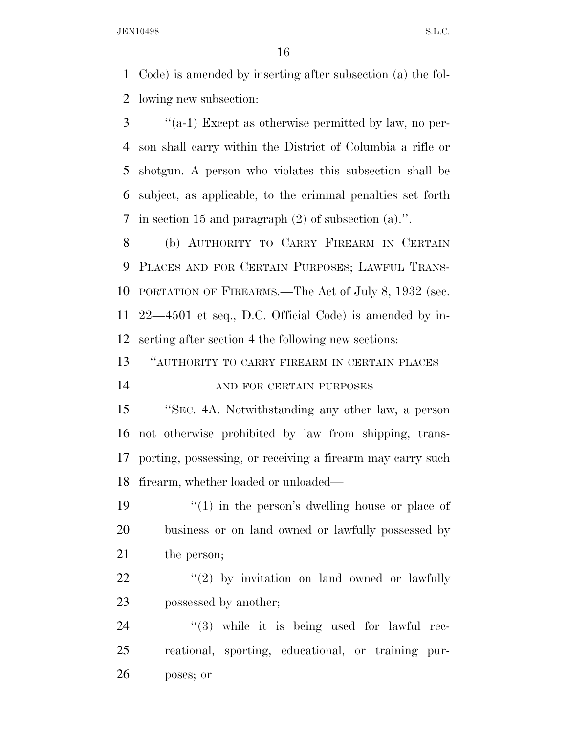Code) is amended by inserting after subsection (a) the fol-lowing new subsection:

 ''(a-1) Except as otherwise permitted by law, no per- son shall carry within the District of Columbia a rifle or shotgun. A person who violates this subsection shall be subject, as applicable, to the criminal penalties set forth in section 15 and paragraph (2) of subsection (a).''.

 (b) AUTHORITY TO CARRY FIREARM IN CERTAIN PLACES AND FOR CERTAIN PURPOSES; LAWFUL TRANS- PORTATION OF FIREARMS.—The Act of July 8, 1932 (sec. 22—4501 et seq., D.C. Official Code) is amended by in-serting after section 4 the following new sections:

 ''AUTHORITY TO CARRY FIREARM IN CERTAIN PLACES AND FOR CERTAIN PURPOSES

 ''SEC. 4A. Notwithstanding any other law, a person not otherwise prohibited by law from shipping, trans- porting, possessing, or receiving a firearm may carry such firearm, whether loaded or unloaded—

19 ''(1) in the person's dwelling house or place of business or on land owned or lawfully possessed by 21 the person;

  $(2)$  by invitation on land owned or lawfully 23 possessed by another;

24  $(3)$  while it is being used for lawful rec- reational, sporting, educational, or training pur-poses; or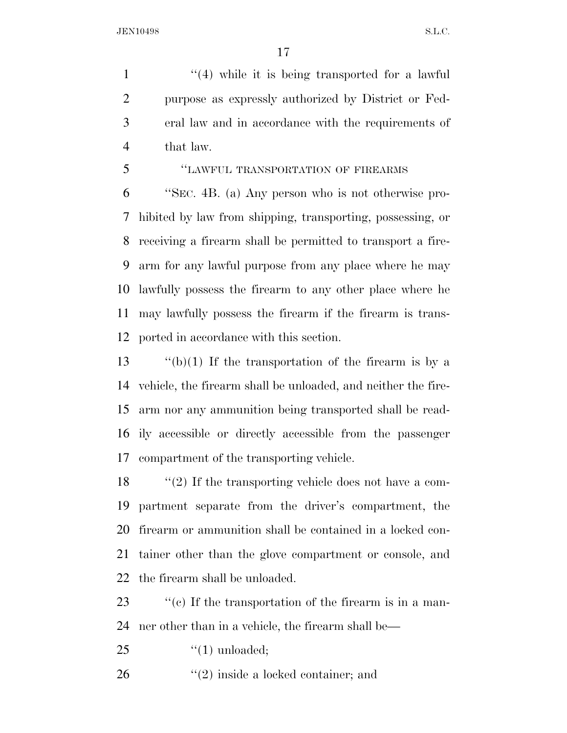1 ''(4) while it is being transported for a lawful purpose as expressly authorized by District or Fed- eral law and in accordance with the requirements of that law.

''LAWFUL TRANSPORTATION OF FIREARMS

 ''SEC. 4B. (a) Any person who is not otherwise pro- hibited by law from shipping, transporting, possessing, or receiving a firearm shall be permitted to transport a fire- arm for any lawful purpose from any place where he may lawfully possess the firearm to any other place where he may lawfully possess the firearm if the firearm is trans-ported in accordance with this section.

 $\frac{1}{2}$  (b)(1) If the transportation of the firearm is by a vehicle, the firearm shall be unloaded, and neither the fire- arm nor any ammunition being transported shall be read- ily accessible or directly accessible from the passenger compartment of the transporting vehicle.

 ''(2) If the transporting vehicle does not have a com- partment separate from the driver's compartment, the firearm or ammunition shall be contained in a locked con- tainer other than the glove compartment or console, and the firearm shall be unloaded.

23  $\%$  (c) If the transportation of the firearm is in a man-ner other than in a vehicle, the firearm shall be—

25  $\qquad \qquad \text{(1) unloaded;}$ 

26 ''(2) inside a locked container; and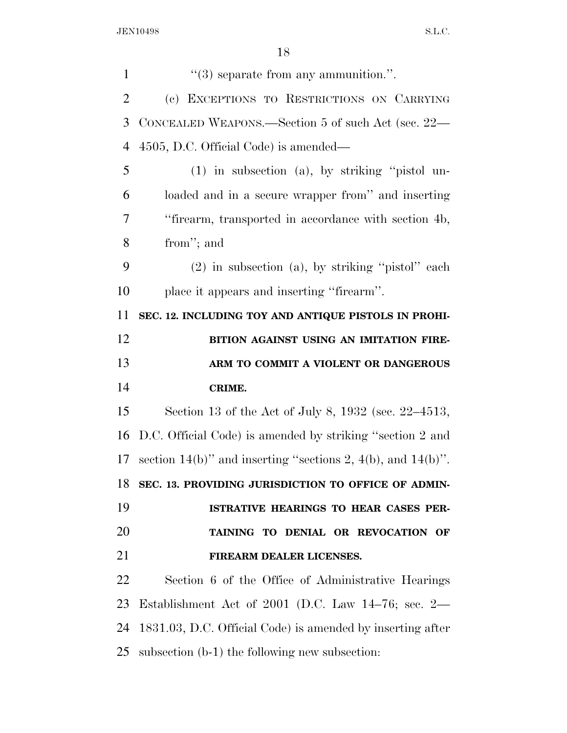| $\mathbf{1}$   | $\lq(3)$ separate from any ammunition.".                    |
|----------------|-------------------------------------------------------------|
| $\overline{2}$ | (c) EXCEPTIONS TO RESTRICTIONS ON CARRYING                  |
| 3              | CONCEALED WEAPONS.—Section 5 of such Act (sec. 22—          |
| $\overline{4}$ | 4505, D.C. Official Code) is amended—                       |
| 5              | $(1)$ in subsection $(a)$ , by striking "pistol un-         |
| 6              | loaded and in a secure wrapper from" and inserting          |
| 7              | "firearm, transported in accordance with section 4b,        |
| 8              | from"; and                                                  |
| 9              | $(2)$ in subsection (a), by striking "pistol" each          |
| 10             | place it appears and inserting "firearm".                   |
| 11             | SEC. 12. INCLUDING TOY AND ANTIQUE PISTOLS IN PROHI-        |
| 12             | BITION AGAINST USING AN IMITATION FIRE-                     |
| 13             | ARM TO COMMIT A VIOLENT OR DANGEROUS                        |
| 14             | CRIME.                                                      |
| 15             | Section 13 of the Act of July 8, 1932 (sec. 22–4513,        |
| 16             | D.C. Official Code) is amended by striking "section 2 and   |
| 17             | section 14(b)" and inserting "sections 2, 4(b), and 14(b)". |
| 18             | SEC. 13. PROVIDING JURISDICTION TO OFFICE OF ADMIN-         |
| 19             | ISTRATIVE HEARINGS TO HEAR CASES PER-                       |
| 20             | TAINING TO DENIAL OR REVOCATION OF                          |
| 21             | FIREARM DEALER LICENSES.                                    |
| 22             | Section 6 of the Office of Administrative Hearings          |
| 23             | Establishment Act of 2001 (D.C. Law $14-76$ ; sec. $2-$     |
| 24             | 1831.03, D.C. Official Code) is amended by inserting after  |
| 25             | subsection (b-1) the following new subsection:              |